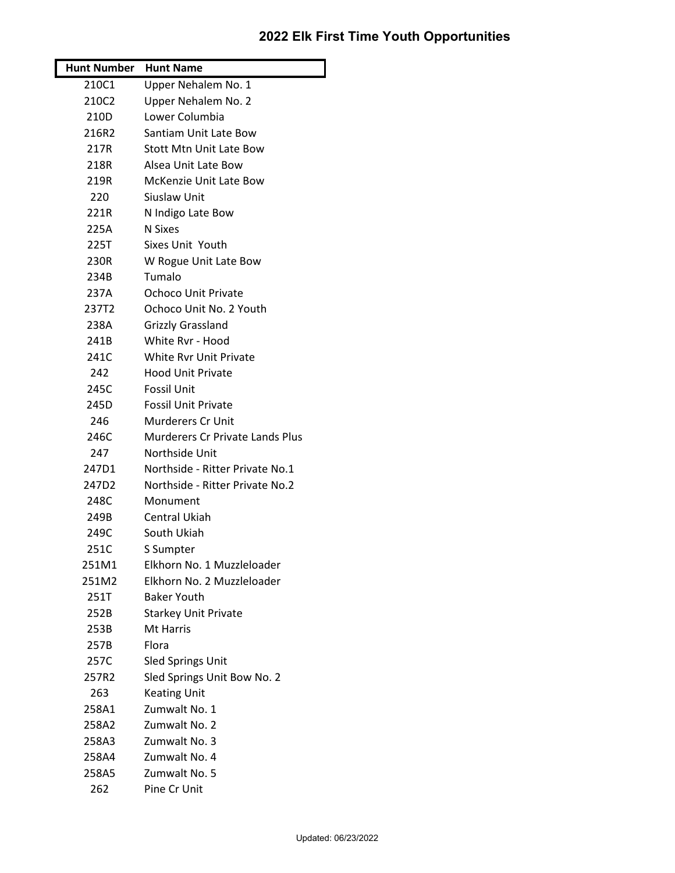## **2022 Elk First Time Youth Opportunities**

| <b>Hunt Number</b> Hunt Name |                                        |
|------------------------------|----------------------------------------|
| 210C1                        | Upper Nehalem No. 1                    |
| 210C2                        | Upper Nehalem No. 2                    |
| 210D                         | Lower Columbia                         |
| 216R2                        | Santiam Unit Late Bow                  |
| 217R                         | <b>Stott Mtn Unit Late Bow</b>         |
| 218R                         | Alsea Unit Late Bow                    |
| 219R                         | <b>McKenzie Unit Late Bow</b>          |
| 220                          | Siuslaw Unit                           |
| 221R                         | N Indigo Late Bow                      |
| 225A                         | N Sixes                                |
| 225T                         | <b>Sixes Unit Youth</b>                |
| 230R                         | W Rogue Unit Late Bow                  |
| 234B                         | Tumalo                                 |
| 237A                         | <b>Ochoco Unit Private</b>             |
| 237T2                        | Ochoco Unit No. 2 Youth                |
| 238A                         | <b>Grizzly Grassland</b>               |
| 241B                         | White Ryr - Hood                       |
| 241C                         | <b>White Ryr Unit Private</b>          |
| 242                          | <b>Hood Unit Private</b>               |
| 245C                         | <b>Fossil Unit</b>                     |
| 245D                         | <b>Fossil Unit Private</b>             |
| 246                          | Murderers Cr Unit                      |
| 246C                         | <b>Murderers Cr Private Lands Plus</b> |
| 247                          | Northside Unit                         |
| 247D1                        | Northside - Ritter Private No.1        |
| 247D2                        | Northside - Ritter Private No.2        |
| 248C                         | Monument                               |
| 249B                         | Central Ukiah                          |
| 249C                         | South Ukiah                            |
| 251C                         | S Sumpter                              |
| 251M1                        | Elkhorn No. 1 Muzzleloader             |
| 251M2                        | Elkhorn No. 2 Muzzleloader             |
| 251T                         | <b>Baker Youth</b>                     |
| 252B                         | <b>Starkey Unit Private</b>            |
| 253B                         | Mt Harris                              |
| 257B                         | Flora                                  |
| 257C                         | <b>Sled Springs Unit</b>               |
| 257R2                        | Sled Springs Unit Bow No. 2            |
| 263                          | <b>Keating Unit</b>                    |
| 258A1                        | Zumwalt No. 1                          |
| 258A2                        | Zumwalt No. 2                          |
| 258A3                        | Zumwalt No. 3                          |
| 258A4                        | Zumwalt No. 4                          |
| 258A5                        | Zumwalt No. 5                          |
| 262                          | Pine Cr Unit                           |